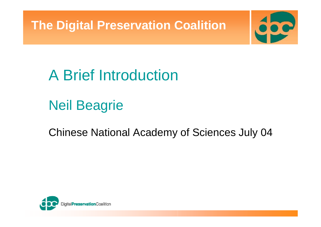**The Digital Preservation Coalition**



### A Brief Introduction

### Neil Beagrie

#### Chinese National Academy of Sciences July 04

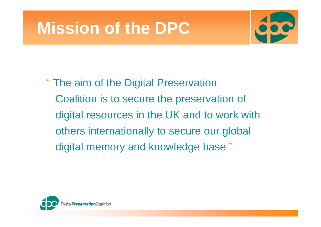# **Mission of the DPC**



" The aim of the Digital Preservation Coalition is to secure the preservation of digital resources in the UK and to work with others internationally to secure our global digital memory and knowledge base "

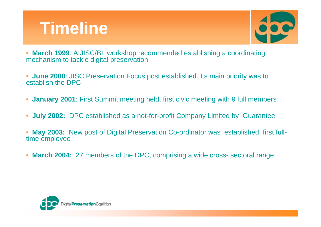# **Timeline**



• **March 1999**: A JISC/BL workshop recommended establishing a coordinating mechanism to tackle digital preservation

• **June 2000**: JISC Preservation Focus post established. Its main priority was to establish the DPC

- **January 2001**: First Summit meeting held, first civic meeting with 9 full members
- $\bullet$ **July 2002:** DPC established as a not-for-profit Company Limited by Guarantee
- **May 2003:** New post of Digital Preservation Co-ordinator was established, first fulltime employee
- **March 2004:** 27 members of the DPC, comprising a wide cross- sectoral range

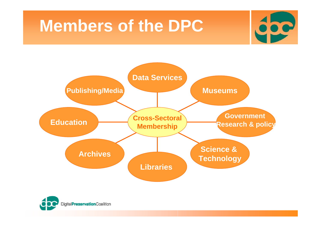## **Members of the DPC**





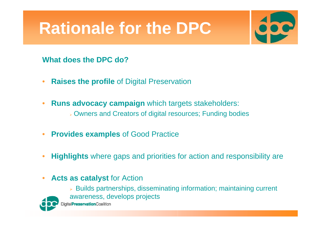# **Rationale for the DPC**



#### **What does the DPC do?**

- $\bullet$ **Raises the profile** of Digital Preservation
- $\bullet$  **Runs advocacy campaign** which targets stakeholders: ¾ Owners and Creators of digital resources; Funding bodies
- $\bullet$ **Provides examples** of Good Practice
- •**Highlights** where gaps and priorities for action and responsibility are
- $\bullet$ **Acts as catalyst** for Action

¾ Builds partnerships, disseminating information; maintaining current awareness, develops projects



ligitalPreservationCoalition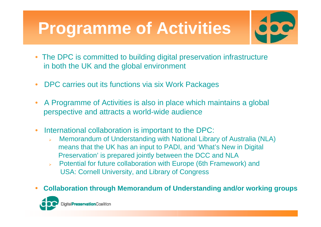# **Programme of Activities**



- The DPC is committed to building digital preservation infrastructure in both the UK and the global environment
- $\bullet$ DPC carries out its functions via six Work Packages
- • A Programme of Activities is also in place which maintains a global perspective and attracts a world-wide audience
- • International collaboration is important to the DPC:
	- ¾ Memorandum of Understanding with National Library of Australia (NLA) means that the UK has an input to PADI, and 'What's New in Digital Preservation' is prepared jointly between the DCC and NLA
	- ¾ Potential for future collaboration with Europe (6th Framework) and USA: Cornell University, and Library of Congress
- •**Collaboration through Memorandum of Understanding and/or working groups**

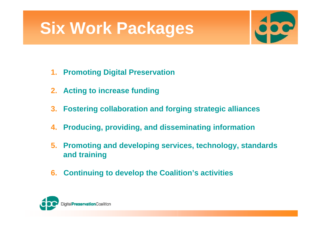# **Six Work Packages**



- **1. Promoting Digital Preservation**
- **2. Acting to increase funding**
- **3. Fostering collaboration and forging strategic alliances**
- **4.Producing, providing, and disseminating information**
- **5. Promoting and developing services, technology, standards and training**
- **6. Continuing to develop the Coalition's activities**

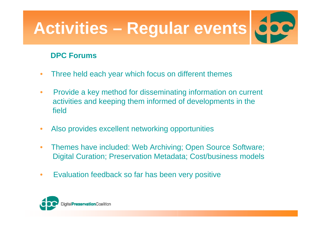#### **DPC Forums**

- •Three held each year which focus on different themes
- • Provide a key method for disseminating information on current activities and keeping them informed of developments in the field
- •Also provides excellent networking opportunities
- • Themes have included: Web Archiving; Open Source Software; Digital Curation; Preservation Metadata; Cost/business models
- •Evaluation feedback so far has been very positive

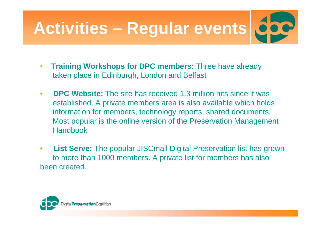- • **Training Workshops for DPC members:** Three have already taken place in Edinburgh, London and Belfast
- • **DPC Website:** The site has received 1.3 million hits since it was established. A private members area is also available which holds information for members, technology reports, shared documents. Most popular is the online version of the Preservation Management Handbook
- • **List Serve:** The popular JISCmail Digital Preservation list has grown to more than 1000 members. A private list for members has also been created.

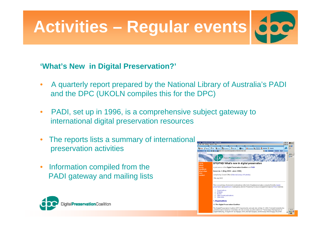#### **'What's New in Digital Preservation?'**

- • A quarterly report prepared by the National Library of Australia's PADI and the DPC (UKOLN compiles this for the DPC)
- • PADI, set up in 1996, is a comprehensive subject gateway to international digital preservation resources
- • The reports lists a summary of international preservation activities
- • Information compiled from the PADI gateway and mailing lists



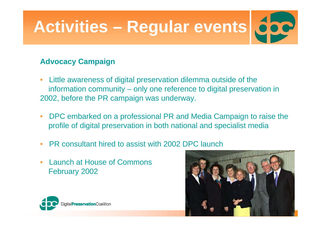#### **Advocacy Campaign**

- • Little awareness of digital preservation dilemma outside of the information community – only one reference to digital preservation in 2002, before the PR campaign was underway.
- $\bullet$  DPC embarked on a professional PR and Media Campaign to raise the profile of digital preservation in both national and specialist media
- •PR consultant hired to assist with 2002 DPC launch
- • Launch at House of CommonsFebruary 2002



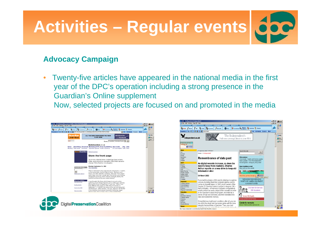#### **Advocacy Campaign**

• Twenty-five articles have appeared in the national media in the first year of the DPC's operation including a strong presence in the Guardian's Online supplement Now, selected projects are focused on and promoted in the media



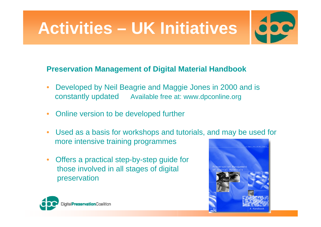

#### **Preservation Management of Digital Material Handbook**

- • Developed by Neil Beagrie and Maggie Jones in 2000 and is constantly updated Available free at: www.dpconline.org
- •Online version to be developed further
- Used as a basis for workshops and tutorials, and may be used for more intensive training programmes
- • Offers a practical step-by-step guide for those involved in all stages of digital preservation



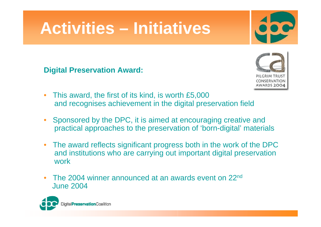**Digital Preservation Award:**



- $\bullet$  This award, the first of its kind, is worth £5,000 and recognises achievement in the digital preservation field
- • Sponsored by the DPC, it is aimed at encouraging creative and practical approaches to the preservation of 'born-digital' materials
- $\bullet$  The award reflects significant progress both in the work of the DPC and institutions who are carrying out important digital preservation work
- • The 2004 winner announced at an awards event on 22nd June 2004

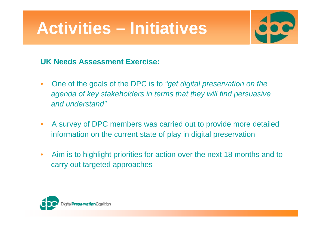

#### **UK Needs Assessment Exercise:**

- $\bullet$  One of the goals of the DPC is to *"get digital preservation on the agenda of key stakeholders in terms that they will find persuasive and understand"*
- $\bullet$  A survey of DPC members was carried out to provide more detailed information on the current state of play in digital preservation
- $\bullet$  Aim is to highlight priorities for action over the next 18 months and to carry out targeted approaches

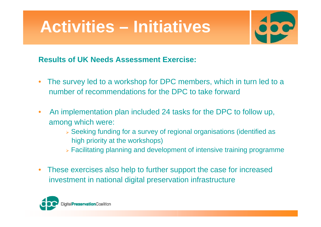

**Results of UK Needs Assessment Exercise:**

- • The survey led to a workshop for DPC members, which in turn led to a number of recommendations for the DPC to take forward
- $\bullet$  An implementation plan included 24 tasks for the DPC to follow up, among which were:
	- ¾ Seeking funding for a survey of regional organisations (identified as high priority at the workshops)
	- $\triangleright$  Facilitating planning and development of intensive training programme
- • These exercises also help to further support the case for increased investment in national digital preservation infrastructure

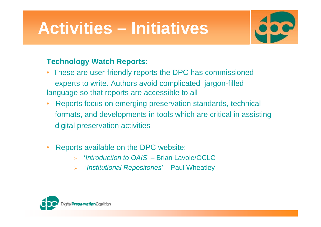

#### **Technology Watch Reports:**

- These are user-friendly reports the DPC has commissioned experts to write. Authors avoid complicated jargon-filled language so that reports are accessible to all
- • Reports focus on emerging preservation standards, technical formats, and developments in tools which are critical in assisting digital preservation activities
- • Reports available on the DPC website:
	- ¾ '*Introduction to OAIS*' Brian Lavoie/OCLC
	- ¾'*Institutional Repositories*' – Paul Wheatley